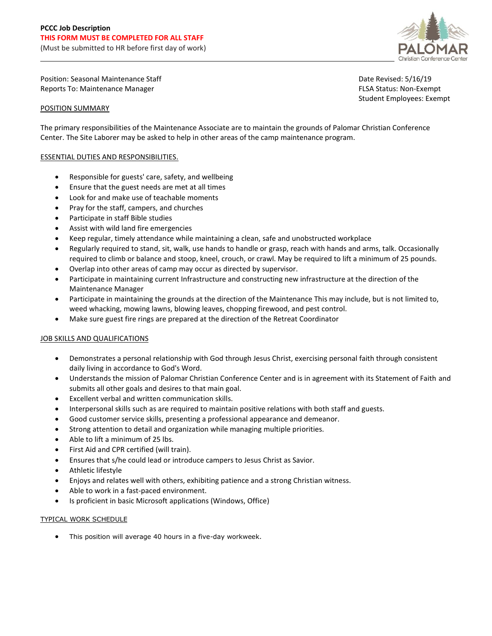

Position: Seasonal Maintenance Staff Date Revised: 5/16/19 Reports To: Maintenance Manager FLSA Status: Non-Exempt

## POSITION SUMMARY

Student Employees: Exempt

The primary responsibilities of the Maintenance Associate are to maintain the grounds of Palomar Christian Conference Center. The Site Laborer may be asked to help in other areas of the camp maintenance program.

## ESSENTIAL DUTIES AND RESPONSIBILITIES.

- Responsible for guests' care, safety, and wellbeing
- Ensure that the guest needs are met at all times
- Look for and make use of teachable moments
- Pray for the staff, campers, and churches
- Participate in staff Bible studies
- Assist with wild land fire emergencies
- Keep regular, timely attendance while maintaining a clean, safe and unobstructed workplace
- Regularly required to stand, sit, walk, use hands to handle or grasp, reach with hands and arms, talk. Occasionally required to climb or balance and stoop, kneel, crouch, or crawl. May be required to lift a minimum of 25 pounds.
- Overlap into other areas of camp may occur as directed by supervisor.
- Participate in maintaining current Infrastructure and constructing new infrastructure at the direction of the Maintenance Manager
- Participate in maintaining the grounds at the direction of the Maintenance This may include, but is not limited to, weed whacking, mowing lawns, blowing leaves, chopping firewood, and pest control.
- Make sure guest fire rings are prepared at the direction of the Retreat Coordinator

## JOB SKILLS AND QUALIFICATIONS

- Demonstrates a personal relationship with God through Jesus Christ, exercising personal faith through consistent daily living in accordance to God's Word.
- Understands the mission of Palomar Christian Conference Center and is in agreement with its Statement of Faith and submits all other goals and desires to that main goal.
- Excellent verbal and written communication skills.
- Interpersonal skills such as are required to maintain positive relations with both staff and guests.
- Good customer service skills, presenting a professional appearance and demeanor.
- Strong attention to detail and organization while managing multiple priorities.
- Able to lift a minimum of 25 lbs.
- First Aid and CPR certified (will train).
- Ensures that s/he could lead or introduce campers to Jesus Christ as Savior.
- Athletic lifestyle
- Enjoys and relates well with others, exhibiting patience and a strong Christian witness.
- Able to work in a fast-paced environment.
- Is proficient in basic Microsoft applications (Windows, Office)

## TYPICAL WORK SCHEDULE

• This position will average 40 hours in a five-day workweek.